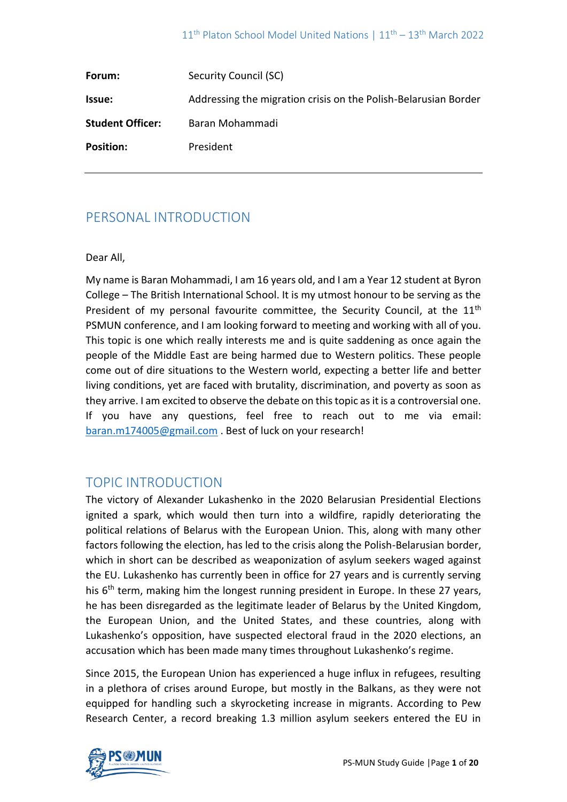| Forum:                  | Security Council (SC)                                           |
|-------------------------|-----------------------------------------------------------------|
| <b>Issue:</b>           | Addressing the migration crisis on the Polish-Belarusian Border |
| <b>Student Officer:</b> | Baran Mohammadi                                                 |
| <b>Position:</b>        | President                                                       |

# PERSONAL INTRODUCTION

## Dear All,

My name is Baran Mohammadi, I am 16 years old, and I am a Year 12 student at Byron College – The British International School. It is my utmost honour to be serving as the President of my personal favourite committee, the Security Council, at the 11<sup>th</sup> PSMUN conference, and I am looking forward to meeting and working with all of you. This topic is one which really interests me and is quite saddening as once again the people of the Middle East are being harmed due to Western politics. These people come out of dire situations to the Western world, expecting a better life and better living conditions, yet are faced with brutality, discrimination, and poverty as soon as they arrive. I am excited to observe the debate on this topic as it is a controversial one. If you have any questions, feel free to reach out to me via email: [baran.m174005@gmail.com](mailto:baran.m174005@gmail.com) . Best of luck on your research!

# TOPIC INTRODUCTION

The victory of Alexander Lukashenko in the 2020 Belarusian Presidential Elections ignited a spark, which would then turn into a wildfire, rapidly deteriorating the political relations of Belarus with the European Union. This, along with many other factors following the election, has led to the crisis along the Polish-Belarusian border, which in short can be described as weaponization of asylum seekers waged against the EU. Lukashenko has currently been in office for 27 years and is currently serving his  $6<sup>th</sup>$  term, making him the longest running president in Europe. In these 27 years, he has been disregarded as the legitimate leader of Belarus by the United Kingdom, the European Union, and the United States, and these countries, along with Lukashenko's opposition, have suspected electoral fraud in the 2020 elections, an accusation which has been made many times throughout Lukashenko's regime.

Since 2015, the European Union has experienced a huge influx in refugees, resulting in a plethora of crises around Europe, but mostly in the Balkans, as they were not equipped for handling such a skyrocketing increase in migrants. According to Pew Research Center, a record breaking 1.3 million asylum seekers entered the EU in

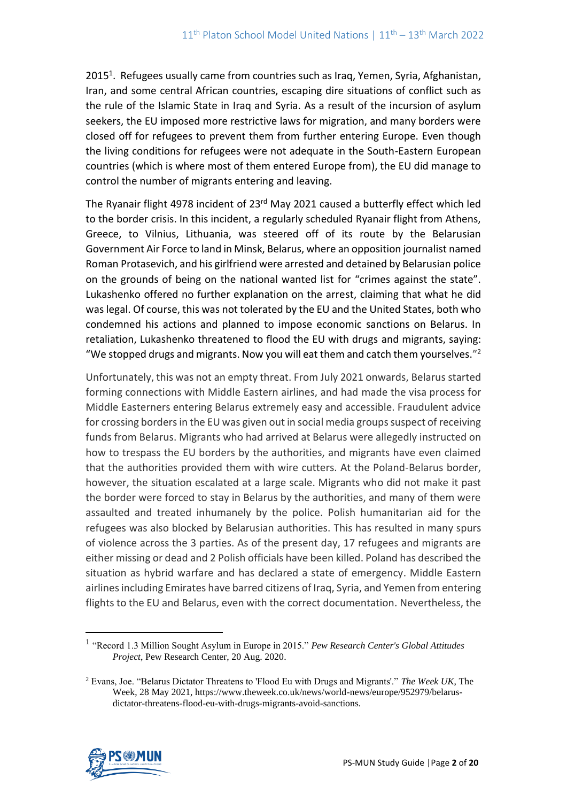2015<sup>1</sup>. Refugees usually came from countries such as Iraq, Yemen, Syria, Afghanistan, Iran, and some central African countries, escaping dire situations of conflict such as the rule of the Islamic State in Iraq and Syria. As a result of the incursion of asylum seekers, the EU imposed more restrictive laws for migration, and many borders were closed off for refugees to prevent them from further entering Europe. Even though the living conditions for refugees were not adequate in the South-Eastern European countries (which is where most of them entered Europe from), the EU did manage to control the number of migrants entering and leaving.

The Ryanair flight 4978 incident of 23<sup>rd</sup> May 2021 caused a butterfly effect which led to the border crisis. In this incident, a regularly scheduled Ryanair flight from Athens, Greece, to Vilnius, Lithuania, was steered off of its route by the Belarusian Government Air Force to land in Minsk, Belarus, where an opposition journalist named Roman Protasevich, and his girlfriend were arrested and detained by Belarusian police on the grounds of being on the national wanted list for "crimes against the state". Lukashenko offered no further explanation on the arrest, claiming that what he did was legal. Of course, this was not tolerated by the EU and the United States, both who condemned his actions and planned to impose economic sanctions on Belarus. In retaliation, Lukashenko threatened to flood the EU with drugs and migrants, saying: "We stopped drugs and migrants. Now you will eat them and catch them yourselves."<sup>2</sup>

Unfortunately, this was not an empty threat. From July 2021 onwards, Belarus started forming connections with Middle Eastern airlines, and had made the visa process for Middle Easterners entering Belarus extremely easy and accessible. Fraudulent advice for crossing borders in the EU was given out in social media groups suspect of receiving funds from Belarus. Migrants who had arrived at Belarus were allegedly instructed on how to trespass the EU borders by the authorities, and migrants have even claimed that the authorities provided them with wire cutters. At the Poland-Belarus border, however, the situation escalated at a large scale. Migrants who did not make it past the border were forced to stay in Belarus by the authorities, and many of them were assaulted and treated inhumanely by the police. Polish humanitarian aid for the refugees was also blocked by Belarusian authorities. This has resulted in many spurs of violence across the 3 parties. As of the present day, 17 refugees and migrants are either missing or dead and 2 Polish officials have been killed. Poland has described the situation as hybrid warfare and has declared a state of emergency. Middle Eastern airlines including Emirates have barred citizens of Iraq, Syria, and Yemen from entering flights to the EU and Belarus, even with the correct documentation. Nevertheless, the

<sup>2</sup> Evans, Joe. "Belarus Dictator Threatens to 'Flood Eu with Drugs and Migrants'." *The Week UK*, The Week, 28 May 2021, https://www.theweek.co.uk/news/world-news/europe/952979/belarusdictator-threatens-flood-eu-with-drugs-migrants-avoid-sanctions.



<sup>1</sup> "Record 1.3 Million Sought Asylum in Europe in 2015." *Pew Research Center's Global Attitudes Project*, Pew Research Center, 20 Aug. 2020.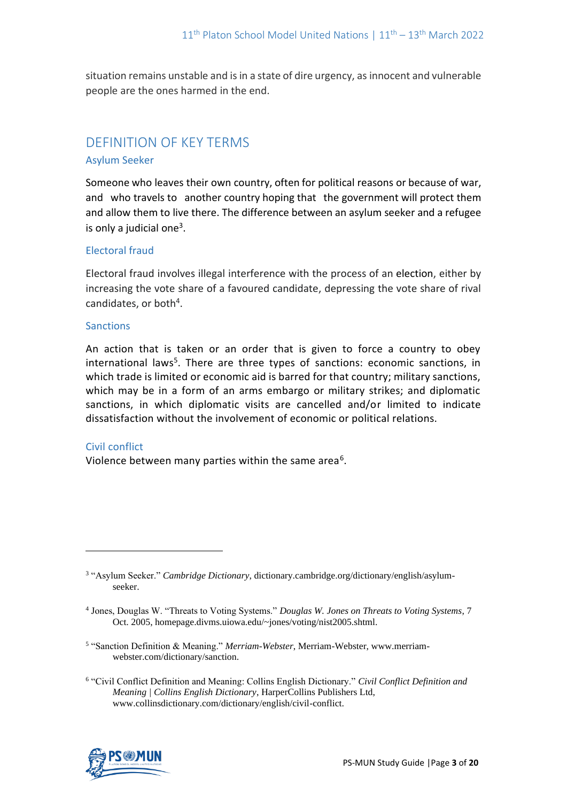situation remains unstable and is in a state of dire urgency, as innocent and vulnerable people are the ones harmed in the end.

# DEFINITION OF KEY TERMS

## Asylum Seeker

Someone who leaves their own country, often for political reasons or because of war, and who travels to another country hoping that the government will protect them and allow them to live there. The difference between an asylum seeker and a refugee is only a judicial one $3$ .

# Electoral fraud

Electoral fraud involves illegal interference with the process of an election, either by increasing the vote share of a favoured candidate, depressing the vote share of rival candidates, or both<sup>4</sup>.

#### **Sanctions**

An action that is taken or an order that is given to force a country to obey international laws<sup>5</sup>. There are three types of sanctions: economic sanctions, in which trade is limited or economic aid is barred for that country; military sanctions, which may be in a form of an arms embargo or military strikes; and diplomatic sanctions, in which diplomatic visits are cancelled and/or limited to indicate dissatisfaction without the involvement of economic or political relations.

## Civil conflict

Violence between many parties within the same area<sup>6</sup>.

<sup>6</sup> "Civil Conflict Definition and Meaning: Collins English Dictionary." *Civil Conflict Definition and Meaning | Collins English Dictionary*, HarperCollins Publishers Ltd, www.collinsdictionary.com/dictionary/english/civil-conflict.



<sup>3</sup> "Asylum Seeker." *Cambridge Dictionary*, dictionary.cambridge.org/dictionary/english/asylumseeker.

<sup>4</sup> Jones, Douglas W. "Threats to Voting Systems." *Douglas W. Jones on Threats to Voting Systems*, 7 Oct. 2005, homepage.divms.uiowa.edu/~jones/voting/nist2005.shtml.

<sup>5</sup> "Sanction Definition & Meaning." *Merriam-Webster*, Merriam-Webster, www.merriamwebster.com/dictionary/sanction.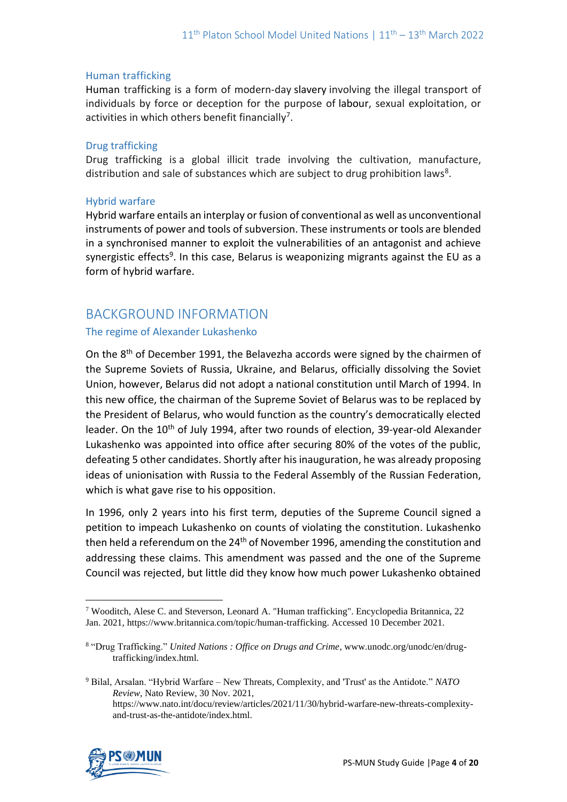## Human trafficking

Human trafficking is a form of modern-day slavery involving the illegal transport of individuals by force or deception for the purpose of labour, sexual exploitation, or activities in which others benefit financially<sup>7</sup>.

#### Drug trafficking

Drug trafficking is a global illicit trade involving the cultivation, manufacture, distribution and sale of substances which are subject to drug prohibition laws<sup>8</sup>.

#### Hybrid warfare

Hybrid warfare entails an interplay or fusion of conventional as well as unconventional instruments of power and tools of subversion. These instruments or tools are blended in a synchronised manner to exploit the vulnerabilities of an antagonist and achieve synergistic effects<sup>9</sup>. In this case, Belarus is weaponizing migrants against the EU as a form of hybrid warfare.

# BACKGROUND INFORMATION

## The regime of Alexander Lukashenko

On the 8th of December 1991, the Belavezha accords were signed by the chairmen of the Supreme Soviets of Russia, Ukraine, and Belarus, officially dissolving the Soviet Union, however, Belarus did not adopt a national constitution until March of 1994. In this new office, the chairman of the Supreme Soviet of Belarus was to be replaced by the President of Belarus, who would function as the country's democratically elected leader. On the 10<sup>th</sup> of July 1994, after two rounds of election, 39-year-old Alexander Lukashenko was appointed into office after securing 80% of the votes of the public, defeating 5 other candidates. Shortly after his inauguration, he was already proposing ideas of unionisation with Russia to the Federal Assembly of the Russian Federation, which is what gave rise to his opposition.

In 1996, only 2 years into his first term, deputies of the Supreme Council signed a petition to impeach Lukashenko on counts of violating the constitution. Lukashenko then held a referendum on the  $24<sup>th</sup>$  of November 1996, amending the constitution and addressing these claims. This amendment was passed and the one of the Supreme Council was rejected, but little did they know how much power Lukashenko obtained

<sup>9</sup> Bilal, Arsalan. "Hybrid Warfare – New Threats, Complexity, and 'Trust' as the Antidote." *NATO Review*, Nato Review, 30 Nov. 2021, https://www.nato.int/docu/review/articles/2021/11/30/hybrid-warfare-new-threats-complexityand-trust-as-the-antidote/index.html.



<sup>7</sup> Wooditch, Alese C. and Steverson, Leonard A. "Human trafficking". Encyclopedia Britannica, 22 Jan. 2021, https://www.britannica.com/topic/human-trafficking. Accessed 10 December 2021.

<sup>8</sup> "Drug Trafficking." *United Nations : Office on Drugs and Crime*, www.unodc.org/unodc/en/drugtrafficking/index.html.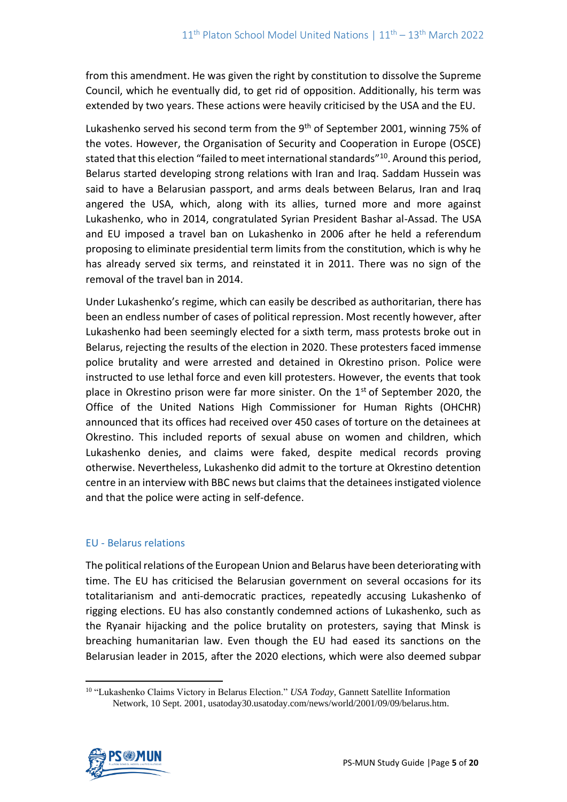from this amendment. He was given the right by constitution to dissolve the Supreme Council, which he eventually did, to get rid of opposition. Additionally, his term was extended by two years. These actions were heavily criticised by the USA and the EU.

Lukashenko served his second term from the 9<sup>th</sup> of September 2001, winning 75% of the votes. However, the Organisation of Security and Cooperation in Europe (OSCE) stated that this election "failed to meet international standards"<sup>10</sup>. Around this period, Belarus started developing strong relations with Iran and Iraq. Saddam Hussein was said to have a Belarusian passport, and arms deals between Belarus, Iran and Iraq angered the USA, which, along with its allies, turned more and more against Lukashenko, who in 2014, congratulated Syrian President Bashar al-Assad. The USA and EU imposed a travel ban on Lukashenko in 2006 after he held a referendum proposing to eliminate presidential term limits from the constitution, which is why he has already served six terms, and reinstated it in 2011. There was no sign of the removal of the travel ban in 2014.

Under Lukashenko's regime, which can easily be described as authoritarian, there has been an endless number of cases of political repression. Most recently however, after Lukashenko had been seemingly elected for a sixth term, mass protests broke out in Belarus, rejecting the results of the election in 2020. These protesters faced immense police brutality and were arrested and detained in Okrestino prison. Police were instructed to use lethal force and even kill protesters. However, the events that took place in Okrestino prison were far more sinister. On the  $1<sup>st</sup>$  of September 2020, the Office of the United Nations High Commissioner for Human Rights (OHCHR) announced that its offices had received over 450 cases of torture on the detainees at Okrestino. This included reports of sexual abuse on women and children, which Lukashenko denies, and claims were faked, despite medical records proving otherwise. Nevertheless, Lukashenko did admit to the torture at Okrestino detention centre in an interview with BBC news but claims that the detainees instigated violence and that the police were acting in self-defence.

# EU - Belarus relations

The political relations of the European Union and Belarus have been deteriorating with time. The EU has criticised the Belarusian government on several occasions for its totalitarianism and anti-democratic practices, repeatedly accusing Lukashenko of rigging elections. EU has also constantly condemned actions of Lukashenko, such as the Ryanair hijacking and the police brutality on protesters, saying that Minsk is breaching humanitarian law. Even though the EU had eased its sanctions on the Belarusian leader in 2015, after the 2020 elections, which were also deemed subpar

<sup>10</sup> "Lukashenko Claims Victory in Belarus Election." *USA Today*, Gannett Satellite Information Network, 10 Sept. 2001, usatoday30.usatoday.com/news/world/2001/09/09/belarus.htm.

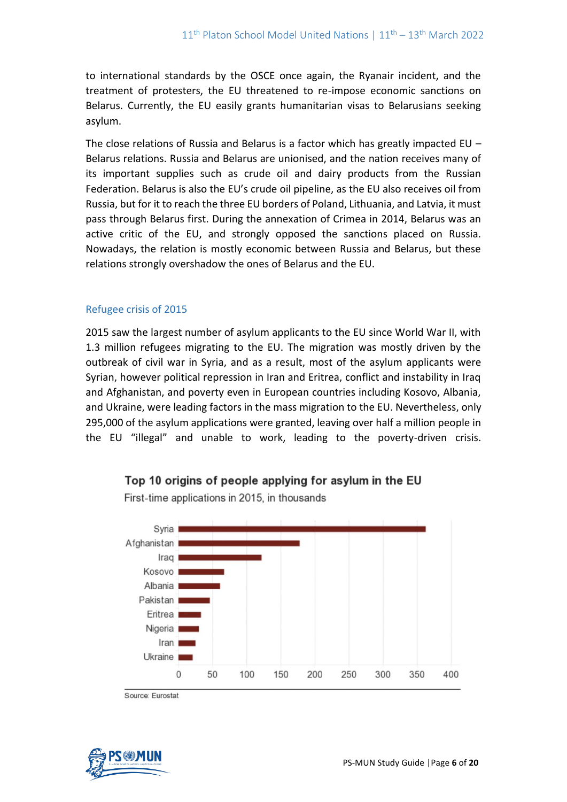to international standards by the OSCE once again, the Ryanair incident, and the treatment of protesters, the EU threatened to re-impose economic sanctions on Belarus. Currently, the EU easily grants humanitarian visas to Belarusians seeking asylum.

The close relations of Russia and Belarus is a factor which has greatly impacted EU  $-$ Belarus relations. Russia and Belarus are unionised, and the nation receives many of its important supplies such as crude oil and dairy products from the Russian Federation. Belarus is also the EU's crude oil pipeline, as the EU also receives oil from Russia, but for it to reach the three EU borders of Poland, Lithuania, and Latvia, it must pass through Belarus first. During the annexation of Crimea in 2014, Belarus was an active critic of the EU, and strongly opposed the sanctions placed on Russia. Nowadays, the relation is mostly economic between Russia and Belarus, but these relations strongly overshadow the ones of Belarus and the EU.

# Refugee crisis of 2015

2015 saw the largest number of asylum applicants to the EU since World War II, with 1.3 million refugees migrating to the EU. The migration was mostly driven by the outbreak of civil war in Syria, and as a result, most of the asylum applicants were Syrian, however political repression in Iran and Eritrea, conflict and instability in Iraq and Afghanistan, and poverty even in European countries including Kosovo, Albania, and Ukraine, were leading factors in the mass migration to the EU. Nevertheless, only 295,000 of the asylum applications were granted, leaving over half a million people in the EU "illegal" and unable to work, leading to the poverty-driven crisis.



# Top 10 origins of people applying for asylum in the EU

First-time applications in 2015, in thousands



Source: Eurostat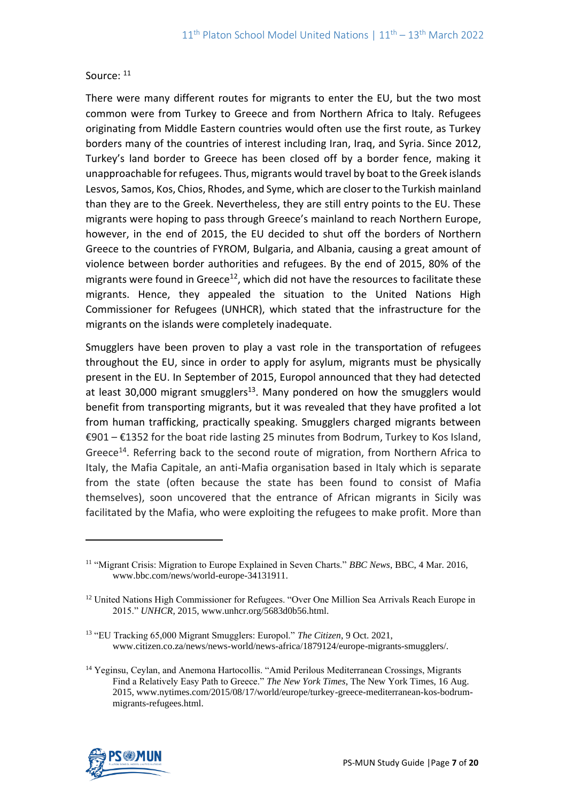# Source:  $11$

There were many different routes for migrants to enter the EU, but the two most common were from Turkey to Greece and from Northern Africa to Italy. Refugees originating from Middle Eastern countries would often use the first route, as Turkey borders many of the countries of interest including Iran, Iraq, and Syria. Since 2012, Turkey's land border to Greece has been closed off by a border fence, making it unapproachable for refugees. Thus, migrants would travel by boat to the Greek islands Lesvos, Samos, Kos, Chios, Rhodes, and Syme, which are closer to the Turkish mainland than they are to the Greek. Nevertheless, they are still entry points to the EU. These migrants were hoping to pass through Greece's mainland to reach Northern Europe, however, in the end of 2015, the EU decided to shut off the borders of Northern Greece to the countries of FYROM, Bulgaria, and Albania, causing a great amount of violence between border authorities and refugees. By the end of 2015, 80% of the migrants were found in Greece $^{12}$ , which did not have the resources to facilitate these migrants. Hence, they appealed the situation to the United Nations High Commissioner for Refugees (UNHCR), which stated that the infrastructure for the migrants on the islands were completely inadequate.

Smugglers have been proven to play a vast role in the transportation of refugees throughout the EU, since in order to apply for asylum, migrants must be physically present in the EU. In September of 2015, Europol announced that they had detected at least 30,000 migrant smugglers<sup>13</sup>. Many pondered on how the smugglers would benefit from transporting migrants, but it was revealed that they have profited a lot from human trafficking, practically speaking. Smugglers charged migrants between €901 – €1352 for the boat ride lasting 25 minutes from Bodrum, Turkey to Kos Island, Greece<sup>14</sup>. Referring back to the second route of migration, from Northern Africa to Italy, the Mafia Capitale, an anti-Mafia organisation based in Italy which is separate from the state (often because the state has been found to consist of Mafia themselves), soon uncovered that the entrance of African migrants in Sicily was facilitated by the Mafia, who were exploiting the refugees to make profit. More than

<sup>14</sup> Yeginsu, Ceylan, and Anemona Hartocollis. "Amid Perilous Mediterranean Crossings, Migrants Find a Relatively Easy Path to Greece." *The New York Times*, The New York Times, 16 Aug. 2015, www.nytimes.com/2015/08/17/world/europe/turkey-greece-mediterranean-kos-bodrummigrants-refugees.html.



<sup>11</sup> "Migrant Crisis: Migration to Europe Explained in Seven Charts." *BBC News*, BBC, 4 Mar. 2016, www.bbc.com/news/world-europe-34131911.

<sup>12</sup> United Nations High Commissioner for Refugees. "Over One Million Sea Arrivals Reach Europe in 2015." *UNHCR*, 2015, www.unhcr.org/5683d0b56.html.

<sup>13</sup> "EU Tracking 65,000 Migrant Smugglers: Europol." *The Citizen*, 9 Oct. 2021, www.citizen.co.za/news/news-world/news-africa/1879124/europe-migrants-smugglers/.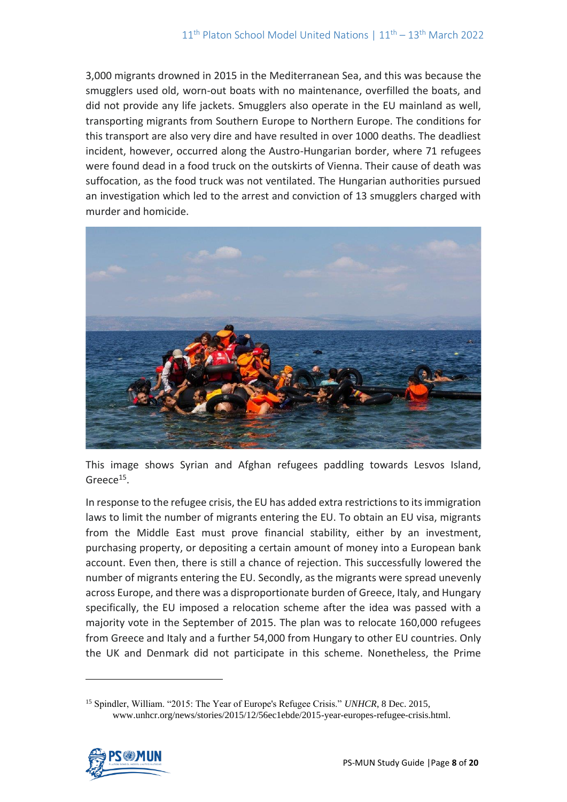3,000 migrants drowned in 2015 in the Mediterranean Sea, and this was because the smugglers used old, worn-out boats with no maintenance, overfilled the boats, and did not provide any life jackets. Smugglers also operate in the EU mainland as well, transporting migrants from Southern Europe to Northern Europe. The conditions for this transport are also very dire and have resulted in over 1000 deaths. The deadliest incident, however, occurred along the Austro-Hungarian border, where 71 refugees were found dead in a food truck on the outskirts of Vienna. Their cause of death was suffocation, as the food truck was not ventilated. The Hungarian authorities pursued an investigation which led to the arrest and conviction of 13 smugglers charged with murder and homicide.



This image shows Syrian and Afghan refugees paddling towards Lesvos Island, Greece<sup>15</sup>.

In response to the refugee crisis, the EU has added extra restrictions to its immigration laws to limit the number of migrants entering the EU. To obtain an EU visa, migrants from the Middle East must prove financial stability, either by an investment, purchasing property, or depositing a certain amount of money into a European bank account. Even then, there is still a chance of rejection. This successfully lowered the number of migrants entering the EU. Secondly, as the migrants were spread unevenly across Europe, and there was a disproportionate burden of Greece, Italy, and Hungary specifically, the EU imposed a relocation scheme after the idea was passed with a majority vote in the September of 2015. The plan was to relocate 160,000 refugees from Greece and Italy and a further 54,000 from Hungary to other EU countries. Only the UK and Denmark did not participate in this scheme. Nonetheless, the Prime

<sup>15</sup> Spindler, William. "2015: The Year of Europe's Refugee Crisis." *UNHCR*, 8 Dec. 2015, www.unhcr.org/news/stories/2015/12/56ec1ebde/2015-year-europes-refugee-crisis.html.

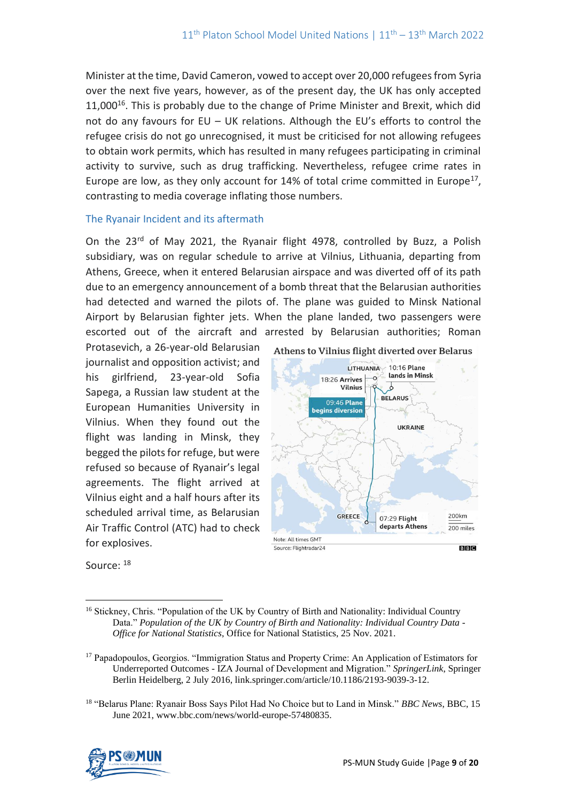Minister at the time, David Cameron, vowed to accept over 20,000 refugees from Syria over the next five years, however, as of the present day, the UK has only accepted 11,000<sup>16</sup>. This is probably due to the change of Prime Minister and Brexit, which did not do any favours for EU – UK relations. Although the EU's efforts to control the refugee crisis do not go unrecognised, it must be criticised for not allowing refugees to obtain work permits, which has resulted in many refugees participating in criminal activity to survive, such as drug trafficking. Nevertheless, refugee crime rates in Europe are low, as they only account for  $14%$  of total crime committed in Europe<sup>17</sup>, contrasting to media coverage inflating those numbers.

# The Ryanair Incident and its aftermath

On the 23<sup>rd</sup> of May 2021, the Ryanair flight 4978, controlled by Buzz, a Polish subsidiary, was on regular schedule to arrive at Vilnius, Lithuania, departing from Athens, Greece, when it entered Belarusian airspace and was diverted off of its path due to an emergency announcement of a bomb threat that the Belarusian authorities had detected and warned the pilots of. The plane was guided to Minsk National Airport by Belarusian fighter jets. When the plane landed, two passengers were escorted out of the aircraft and arrested by Belarusian authorities; Roman

Protasevich, a 26-year-old Belarusian journalist and opposition activist; and his girlfriend, 23-year-old Sofia Sapega, a Russian law student at the European Humanities University in Vilnius. When they found out the flight was landing in Minsk, they begged the pilots for refuge, but were refused so because of Ryanair's legal agreements. The flight arrived at Vilnius eight and a half hours after its scheduled arrival time, as Belarusian Air Traffic Control (ATC) had to check for explosives.



Source: <sup>18</sup>

<sup>18</sup> "Belarus Plane: Ryanair Boss Says Pilot Had No Choice but to Land in Minsk." *BBC News*, BBC, 15 June 2021, www.bbc.com/news/world-europe-57480835.



<sup>&</sup>lt;sup>16</sup> Stickney, Chris. "Population of the UK by Country of Birth and Nationality: Individual Country Data." *Population of the UK by Country of Birth and Nationality: Individual Country Data - Office for National Statistics*, Office for National Statistics, 25 Nov. 2021.

<sup>17</sup> Papadopoulos, Georgios. "Immigration Status and Property Crime: An Application of Estimators for Underreported Outcomes - IZA Journal of Development and Migration." *SpringerLink*, Springer Berlin Heidelberg, 2 July 2016, link.springer.com/article/10.1186/2193-9039-3-12.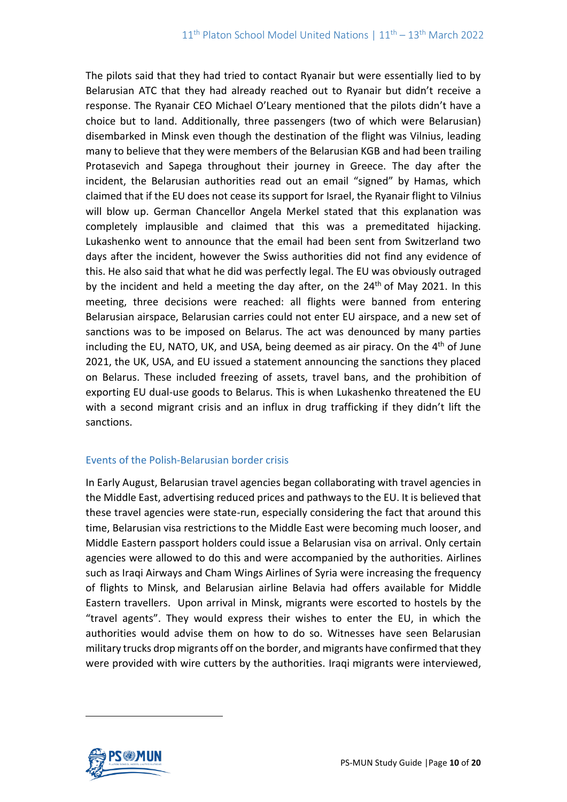The pilots said that they had tried to contact Ryanair but were essentially lied to by Belarusian ATC that they had already reached out to Ryanair but didn't receive a response. The Ryanair CEO Michael O'Leary mentioned that the pilots didn't have a choice but to land. Additionally, three passengers (two of which were Belarusian) disembarked in Minsk even though the destination of the flight was Vilnius, leading many to believe that they were members of the Belarusian KGB and had been trailing Protasevich and Sapega throughout their journey in Greece. The day after the incident, the Belarusian authorities read out an email "signed" by Hamas, which claimed that if the EU does not cease its support for Israel, the Ryanair flight to Vilnius will blow up. German Chancellor Angela Merkel stated that this explanation was completely implausible and claimed that this was a premeditated hijacking. Lukashenko went to announce that the email had been sent from Switzerland two days after the incident, however the Swiss authorities did not find any evidence of this. He also said that what he did was perfectly legal. The EU was obviously outraged by the incident and held a meeting the day after, on the  $24<sup>th</sup>$  of May 2021. In this meeting, three decisions were reached: all flights were banned from entering Belarusian airspace, Belarusian carries could not enter EU airspace, and a new set of sanctions was to be imposed on Belarus. The act was denounced by many parties including the EU, NATO, UK, and USA, being deemed as air piracy. On the 4<sup>th</sup> of June 2021, the UK, USA, and EU issued a statement announcing the sanctions they placed on Belarus. These included freezing of assets, travel bans, and the prohibition of exporting EU dual-use goods to Belarus. This is when Lukashenko threatened the EU with a second migrant crisis and an influx in drug trafficking if they didn't lift the sanctions.

## Events of the Polish-Belarusian border crisis

In Early August, Belarusian travel agencies began collaborating with travel agencies in the Middle East, advertising reduced prices and pathways to the EU. It is believed that these travel agencies were state-run, especially considering the fact that around this time, Belarusian visa restrictions to the Middle East were becoming much looser, and Middle Eastern passport holders could issue a Belarusian visa on arrival. Only certain agencies were allowed to do this and were accompanied by the authorities. Airlines such as Iraqi Airways and Cham Wings Airlines of Syria were increasing the frequency of flights to Minsk, and Belarusian airline Belavia had offers available for Middle Eastern travellers. Upon arrival in Minsk, migrants were escorted to hostels by the "travel agents". They would express their wishes to enter the EU, in which the authorities would advise them on how to do so. Witnesses have seen Belarusian military trucks drop migrants off on the border, and migrants have confirmed that they were provided with wire cutters by the authorities. Iraqi migrants were interviewed,

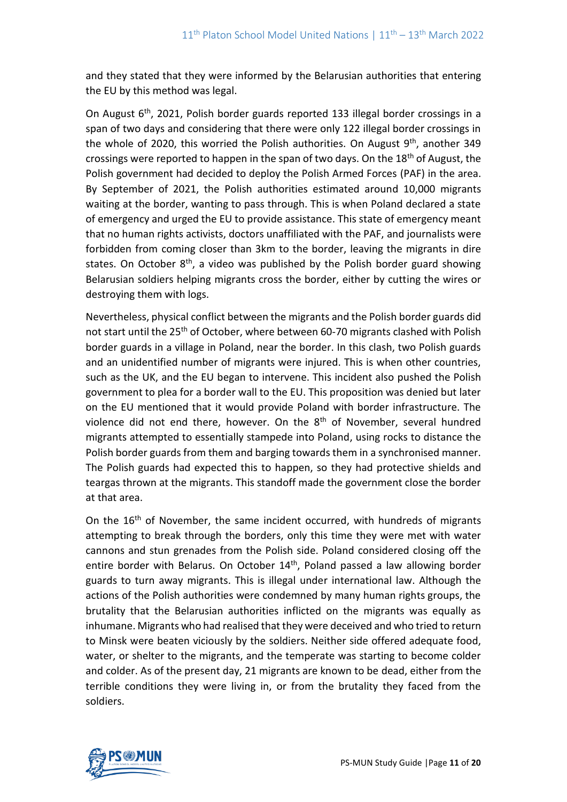and they stated that they were informed by the Belarusian authorities that entering the EU by this method was legal.

On August 6th, 2021, Polish border guards reported 133 illegal border crossings in a span of two days and considering that there were only 122 illegal border crossings in the whole of 2020, this worried the Polish authorities. On August  $9<sup>th</sup>$ , another 349 crossings were reported to happen in the span of two days. On the 18th of August, the Polish government had decided to deploy the Polish Armed Forces (PAF) in the area. By September of 2021, the Polish authorities estimated around 10,000 migrants waiting at the border, wanting to pass through. This is when Poland declared a state of emergency and urged the EU to provide assistance. This state of emergency meant that no human rights activists, doctors unaffiliated with the PAF, and journalists were forbidden from coming closer than 3km to the border, leaving the migrants in dire states. On October  $8<sup>th</sup>$ , a video was published by the Polish border guard showing Belarusian soldiers helping migrants cross the border, either by cutting the wires or destroying them with logs.

Nevertheless, physical conflict between the migrants and the Polish border guards did not start until the 25<sup>th</sup> of October, where between 60-70 migrants clashed with Polish border guards in a village in Poland, near the border. In this clash, two Polish guards and an unidentified number of migrants were injured. This is when other countries, such as the UK, and the EU began to intervene. This incident also pushed the Polish government to plea for a border wall to the EU. This proposition was denied but later on the EU mentioned that it would provide Poland with border infrastructure. The violence did not end there, however. On the  $8<sup>th</sup>$  of November, several hundred migrants attempted to essentially stampede into Poland, using rocks to distance the Polish border guards from them and barging towards them in a synchronised manner. The Polish guards had expected this to happen, so they had protective shields and teargas thrown at the migrants. This standoff made the government close the border at that area.

On the 16<sup>th</sup> of November, the same incident occurred, with hundreds of migrants attempting to break through the borders, only this time they were met with water cannons and stun grenades from the Polish side. Poland considered closing off the entire border with Belarus. On October 14<sup>th</sup>, Poland passed a law allowing border guards to turn away migrants. This is illegal under international law. Although the actions of the Polish authorities were condemned by many human rights groups, the brutality that the Belarusian authorities inflicted on the migrants was equally as inhumane. Migrants who had realised that they were deceived and who tried to return to Minsk were beaten viciously by the soldiers. Neither side offered adequate food, water, or shelter to the migrants, and the temperate was starting to become colder and colder. As of the present day, 21 migrants are known to be dead, either from the terrible conditions they were living in, or from the brutality they faced from the soldiers.

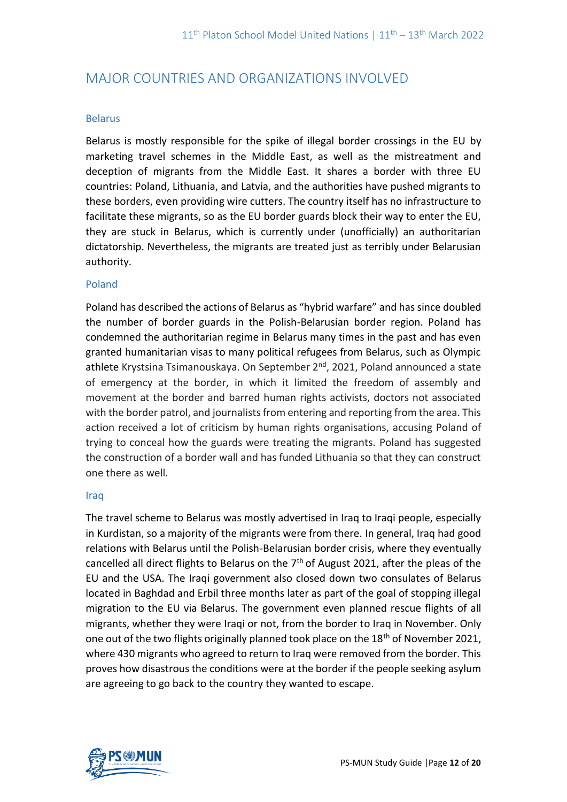# MAJOR COUNTRIES AND ORGANIZATIONS INVOLVED

# Belarus

Belarus is mostly responsible for the spike of illegal border crossings in the EU by marketing travel schemes in the Middle East, as well as the mistreatment and deception of migrants from the Middle East. It shares a border with three EU countries: Poland, Lithuania, and Latvia, and the authorities have pushed migrants to these borders, even providing wire cutters. The country itself has no infrastructure to facilitate these migrants, so as the EU border guards block their way to enter the EU, they are stuck in Belarus, which is currently under (unofficially) an authoritarian dictatorship. Nevertheless, the migrants are treated just as terribly under Belarusian authority.

# Poland

Poland has described the actions of Belarus as "hybrid warfare" and has since doubled the number of border guards in the Polish-Belarusian border region. Poland has condemned the authoritarian regime in Belarus many times in the past and has even granted humanitarian visas to many political refugees from Belarus, such as Olympic athlete Krystsina Tsimanouskaya. On September 2<sup>nd</sup>, 2021, Poland announced a state of emergency at the border, in which it limited the freedom of assembly and movement at the border and barred human rights activists, doctors not associated with the border patrol, and journalists from entering and reporting from the area. This action received a lot of criticism by human rights organisations, accusing Poland of trying to conceal how the guards were treating the migrants. Poland has suggested the construction of a border wall and has funded Lithuania so that they can construct one there as well.

## Iraq

The travel scheme to Belarus was mostly advertised in Iraq to Iraqi people, especially in Kurdistan, so a majority of the migrants were from there. In general, Iraq had good relations with Belarus until the Polish-Belarusian border crisis, where they eventually cancelled all direct flights to Belarus on the  $7<sup>th</sup>$  of August 2021, after the pleas of the EU and the USA. The Iraqi government also closed down two consulates of Belarus located in Baghdad and Erbil three months later as part of the goal of stopping illegal migration to the EU via Belarus. The government even planned rescue flights of all migrants, whether they were Iraqi or not, from the border to Iraq in November. Only one out of the two flights originally planned took place on the 18<sup>th</sup> of November 2021, where 430 migrants who agreed to return to Iraq were removed from the border. This proves how disastrous the conditions were at the border if the people seeking asylum are agreeing to go back to the country they wanted to escape.

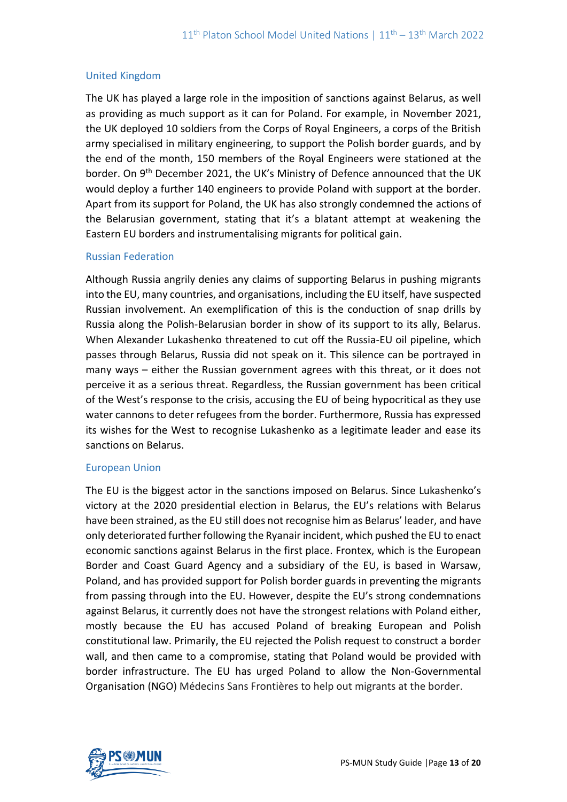# United Kingdom

The UK has played a large role in the imposition of sanctions against Belarus, as well as providing as much support as it can for Poland. For example, in November 2021, the UK deployed 10 soldiers from the Corps of Royal Engineers, a corps of the British army specialised in military engineering, to support the Polish border guards, and by the end of the month, 150 members of the Royal Engineers were stationed at the border. On 9<sup>th</sup> December 2021, the UK's Ministry of Defence announced that the UK would deploy a further 140 engineers to provide Poland with support at the border. Apart from its support for Poland, the UK has also strongly condemned the actions of the Belarusian government, stating that it's a blatant attempt at weakening the Eastern EU borders and instrumentalising migrants for political gain.

## Russian Federation

Although Russia angrily denies any claims of supporting Belarus in pushing migrants into the EU, many countries, and organisations, including the EU itself, have suspected Russian involvement. An exemplification of this is the conduction of snap drills by Russia along the Polish-Belarusian border in show of its support to its ally, Belarus. When Alexander Lukashenko threatened to cut off the Russia-EU oil pipeline, which passes through Belarus, Russia did not speak on it. This silence can be portrayed in many ways – either the Russian government agrees with this threat, or it does not perceive it as a serious threat. Regardless, the Russian government has been critical of the West's response to the crisis, accusing the EU of being hypocritical as they use water cannons to deter refugees from the border. Furthermore, Russia has expressed its wishes for the West to recognise Lukashenko as a legitimate leader and ease its sanctions on Belarus.

## European Union

The EU is the biggest actor in the sanctions imposed on Belarus. Since Lukashenko's victory at the 2020 presidential election in Belarus, the EU's relations with Belarus have been strained, as the EU still does not recognise him as Belarus' leader, and have only deteriorated further following the Ryanair incident, which pushed the EU to enact economic sanctions against Belarus in the first place. Frontex, which is the European Border and Coast Guard Agency and a subsidiary of the EU, is based in Warsaw, Poland, and has provided support for Polish border guards in preventing the migrants from passing through into the EU. However, despite the EU's strong condemnations against Belarus, it currently does not have the strongest relations with Poland either, mostly because the EU has accused Poland of breaking European and Polish constitutional law. Primarily, the EU rejected the Polish request to construct a border wall, and then came to a compromise, stating that Poland would be provided with border infrastructure. The EU has urged Poland to allow the Non-Governmental Organisation (NGO) Médecins Sans Frontières to help out migrants at the border.

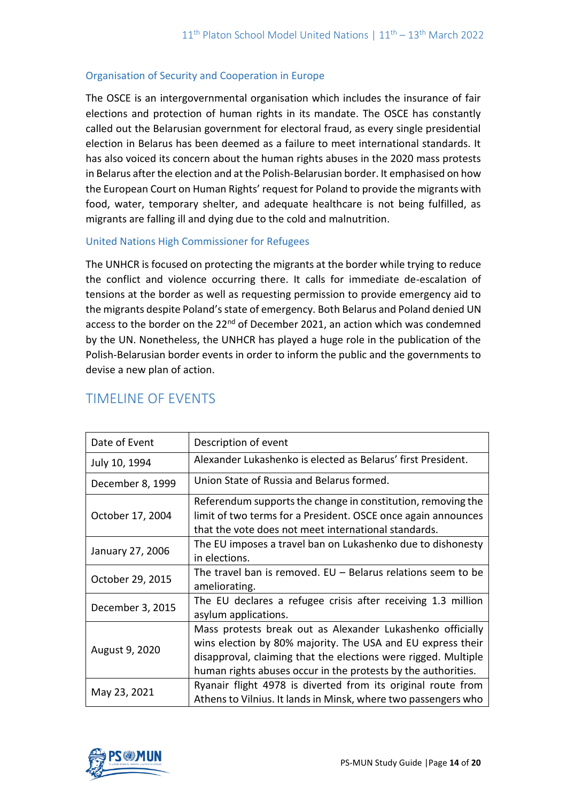# Organisation of Security and Cooperation in Europe

The OSCE is an intergovernmental organisation which includes the insurance of fair elections and protection of human rights in its mandate. The OSCE has constantly called out the Belarusian government for electoral fraud, as every single presidential election in Belarus has been deemed as a failure to meet international standards. It has also voiced its concern about the human rights abuses in the 2020 mass protests in Belarus after the election and at the Polish-Belarusian border. It emphasised on how the European Court on Human Rights' request for Poland to provide the migrants with food, water, temporary shelter, and adequate healthcare is not being fulfilled, as migrants are falling ill and dying due to the cold and malnutrition.

# United Nations High Commissioner for Refugees

The UNHCR is focused on protecting the migrants at the border while trying to reduce the conflict and violence occurring there. It calls for immediate de-escalation of tensions at the border as well as requesting permission to provide emergency aid to the migrants despite Poland's state of emergency. Both Belarus and Poland denied UN access to the border on the 22<sup>nd</sup> of December 2021, an action which was condemned by the UN. Nonetheless, the UNHCR has played a huge role in the publication of the Polish-Belarusian border events in order to inform the public and the governments to devise a new plan of action.

| Date of Event    | Description of event                                                                                                                                                                                                                                         |
|------------------|--------------------------------------------------------------------------------------------------------------------------------------------------------------------------------------------------------------------------------------------------------------|
| July 10, 1994    | Alexander Lukashenko is elected as Belarus' first President.                                                                                                                                                                                                 |
| December 8, 1999 | Union State of Russia and Belarus formed.                                                                                                                                                                                                                    |
| October 17, 2004 | Referendum supports the change in constitution, removing the<br>limit of two terms for a President. OSCE once again announces<br>that the vote does not meet international standards.                                                                        |
| January 27, 2006 | The EU imposes a travel ban on Lukashenko due to dishonesty<br>in elections.                                                                                                                                                                                 |
| October 29, 2015 | The travel ban is removed. $EU - Belarus$ relations seem to be<br>ameliorating.                                                                                                                                                                              |
| December 3, 2015 | The EU declares a refugee crisis after receiving 1.3 million<br>asylum applications.                                                                                                                                                                         |
| August 9, 2020   | Mass protests break out as Alexander Lukashenko officially<br>wins election by 80% majority. The USA and EU express their<br>disapproval, claiming that the elections were rigged. Multiple<br>human rights abuses occur in the protests by the authorities. |
| May 23, 2021     | Ryanair flight 4978 is diverted from its original route from<br>Athens to Vilnius. It lands in Minsk, where two passengers who                                                                                                                               |

# TIMELINE OF EVENTS

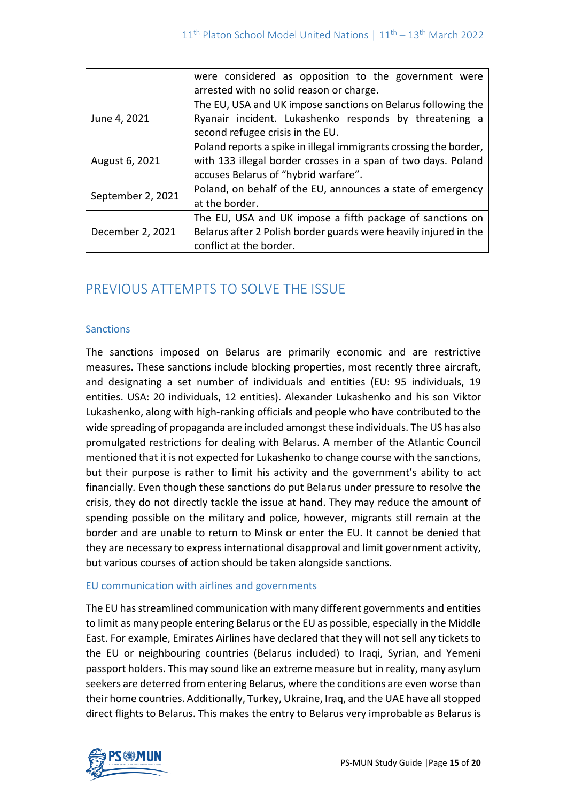|                   | were considered as opposition to the government were<br>arrested with no solid reason or charge.                                                                           |
|-------------------|----------------------------------------------------------------------------------------------------------------------------------------------------------------------------|
| June 4, 2021      | The EU, USA and UK impose sanctions on Belarus following the<br>Ryanair incident. Lukashenko responds by threatening a<br>second refugee crisis in the EU.                 |
| August 6, 2021    | Poland reports a spike in illegal immigrants crossing the border,<br>with 133 illegal border crosses in a span of two days. Poland<br>accuses Belarus of "hybrid warfare". |
| September 2, 2021 | Poland, on behalf of the EU, announces a state of emergency<br>at the border.                                                                                              |
| December 2, 2021  | The EU, USA and UK impose a fifth package of sanctions on<br>Belarus after 2 Polish border guards were heavily injured in the<br>conflict at the border.                   |

# PREVIOUS ATTEMPTS TO SOLVE THE ISSUE

## **Sanctions**

The sanctions imposed on Belarus are primarily economic and are restrictive measures. These sanctions include blocking properties, most recently three aircraft, and designating a set number of individuals and entities (EU: 95 individuals, 19 entities. USA: 20 individuals, 12 entities). Alexander Lukashenko and his son Viktor Lukashenko, along with high-ranking officials and people who have contributed to the wide spreading of propaganda are included amongst these individuals. The US has also promulgated restrictions for dealing with Belarus. A member of the Atlantic Council mentioned that it is not expected for Lukashenko to change course with the sanctions, but their purpose is rather to limit his activity and the government's ability to act financially. Even though these sanctions do put Belarus under pressure to resolve the crisis, they do not directly tackle the issue at hand. They may reduce the amount of spending possible on the military and police, however, migrants still remain at the border and are unable to return to Minsk or enter the EU. It cannot be denied that they are necessary to express international disapproval and limit government activity, but various courses of action should be taken alongside sanctions.

## EU communication with airlines and governments

The EU has streamlined communication with many different governments and entities to limit as many people entering Belarus or the EU as possible, especially in the Middle East. For example, Emirates Airlines have declared that they will not sell any tickets to the EU or neighbouring countries (Belarus included) to Iraqi, Syrian, and Yemeni passport holders. This may sound like an extreme measure but in reality, many asylum seekers are deterred from entering Belarus, where the conditions are even worse than their home countries. Additionally, Turkey, Ukraine, Iraq, and the UAE have all stopped direct flights to Belarus. This makes the entry to Belarus very improbable as Belarus is

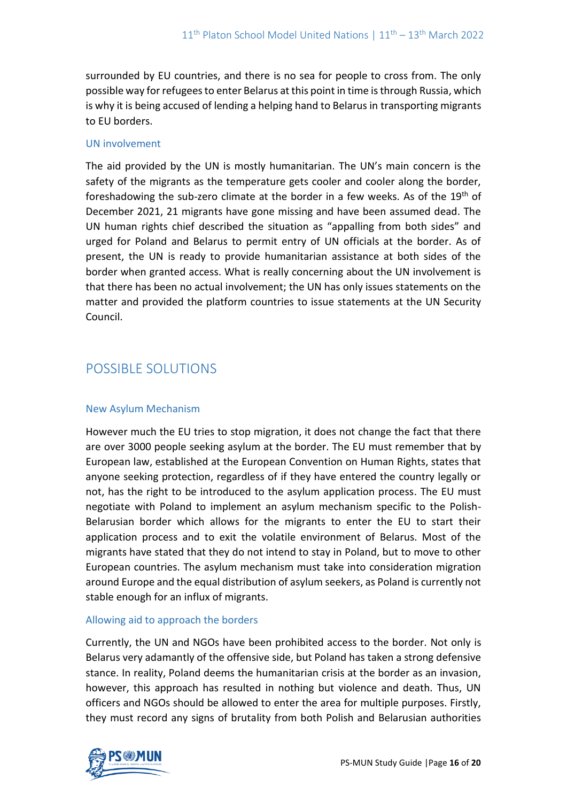surrounded by EU countries, and there is no sea for people to cross from. The only possible way for refugees to enter Belarus at this point in time is through Russia, which is why it is being accused of lending a helping hand to Belarus in transporting migrants to EU borders.

## UN involvement

The aid provided by the UN is mostly humanitarian. The UN's main concern is the safety of the migrants as the temperature gets cooler and cooler along the border, foreshadowing the sub-zero climate at the border in a few weeks. As of the 19<sup>th</sup> of December 2021, 21 migrants have gone missing and have been assumed dead. The UN human rights chief described the situation as "appalling from both sides" and urged for Poland and Belarus to permit entry of UN officials at the border. As of present, the UN is ready to provide humanitarian assistance at both sides of the border when granted access. What is really concerning about the UN involvement is that there has been no actual involvement; the UN has only issues statements on the matter and provided the platform countries to issue statements at the UN Security Council.

# POSSIBLE SOLUTIONS

## New Asylum Mechanism

However much the EU tries to stop migration, it does not change the fact that there are over 3000 people seeking asylum at the border. The EU must remember that by European law, established at the European Convention on Human Rights, states that anyone seeking protection, regardless of if they have entered the country legally or not, has the right to be introduced to the asylum application process. The EU must negotiate with Poland to implement an asylum mechanism specific to the Polish-Belarusian border which allows for the migrants to enter the EU to start their application process and to exit the volatile environment of Belarus. Most of the migrants have stated that they do not intend to stay in Poland, but to move to other European countries. The asylum mechanism must take into consideration migration around Europe and the equal distribution of asylum seekers, as Poland is currently not stable enough for an influx of migrants.

## Allowing aid to approach the borders

Currently, the UN and NGOs have been prohibited access to the border. Not only is Belarus very adamantly of the offensive side, but Poland has taken a strong defensive stance. In reality, Poland deems the humanitarian crisis at the border as an invasion, however, this approach has resulted in nothing but violence and death. Thus, UN officers and NGOs should be allowed to enter the area for multiple purposes. Firstly, they must record any signs of brutality from both Polish and Belarusian authorities

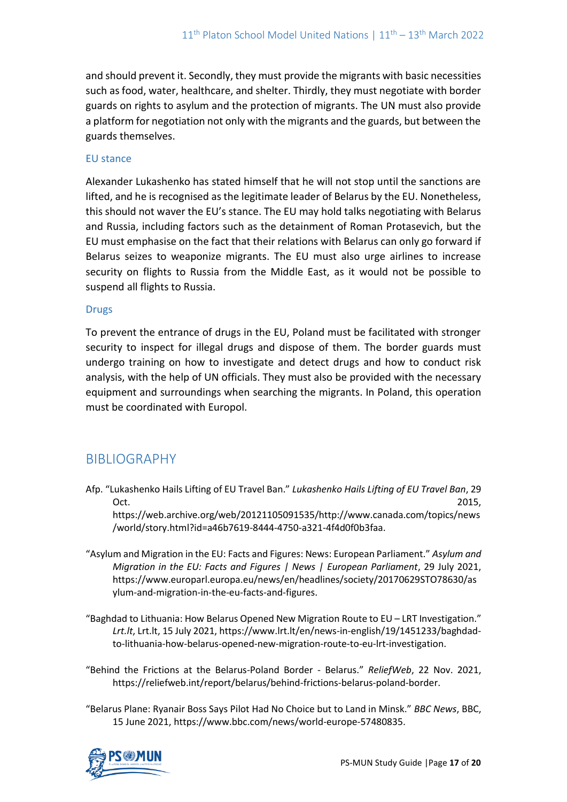and should prevent it. Secondly, they must provide the migrants with basic necessities such as food, water, healthcare, and shelter. Thirdly, they must negotiate with border guards on rights to asylum and the protection of migrants. The UN must also provide a platform for negotiation not only with the migrants and the guards, but between the guards themselves.

## EU stance

Alexander Lukashenko has stated himself that he will not stop until the sanctions are lifted, and he is recognised as the legitimate leader of Belarus by the EU. Nonetheless, this should not waver the EU's stance. The EU may hold talks negotiating with Belarus and Russia, including factors such as the detainment of Roman Protasevich, but the EU must emphasise on the fact that their relations with Belarus can only go forward if Belarus seizes to weaponize migrants. The EU must also urge airlines to increase security on flights to Russia from the Middle East, as it would not be possible to suspend all flights to Russia.

## Drugs

To prevent the entrance of drugs in the EU, Poland must be facilitated with stronger security to inspect for illegal drugs and dispose of them. The border guards must undergo training on how to investigate and detect drugs and how to conduct risk analysis, with the help of UN officials. They must also be provided with the necessary equipment and surroundings when searching the migrants. In Poland, this operation must be coordinated with Europol.

# BIBLIOGRAPHY

Afp. "Lukashenko Hails Lifting of EU Travel Ban." *Lukashenko Hails Lifting of EU Travel Ban*, 29  $Oct.$  2015,

https://web.archive.org/web/20121105091535/http://www.canada.com/topics/news /world/story.html?id=a46b7619-8444-4750-a321-4f4d0f0b3faa.

- "Asylum and Migration in the EU: Facts and Figures: News: European Parliament." *Asylum and Migration in the EU: Facts and Figures | News | European Parliament*, 29 July 2021, https://www.europarl.europa.eu/news/en/headlines/society/20170629STO78630/as ylum-and-migration-in-the-eu-facts-and-figures.
- "Baghdad to Lithuania: How Belarus Opened New Migration Route to EU LRT Investigation." *Lrt.lt*, Lrt.lt, 15 July 2021, https://www.lrt.lt/en/news-in-english/19/1451233/baghdadto-lithuania-how-belarus-opened-new-migration-route-to-eu-lrt-investigation.
- "Behind the Frictions at the Belarus-Poland Border Belarus." *ReliefWeb*, 22 Nov. 2021, https://reliefweb.int/report/belarus/behind-frictions-belarus-poland-border.
- "Belarus Plane: Ryanair Boss Says Pilot Had No Choice but to Land in Minsk." *BBC News*, BBC, 15 June 2021, https://www.bbc.com/news/world-europe-57480835.

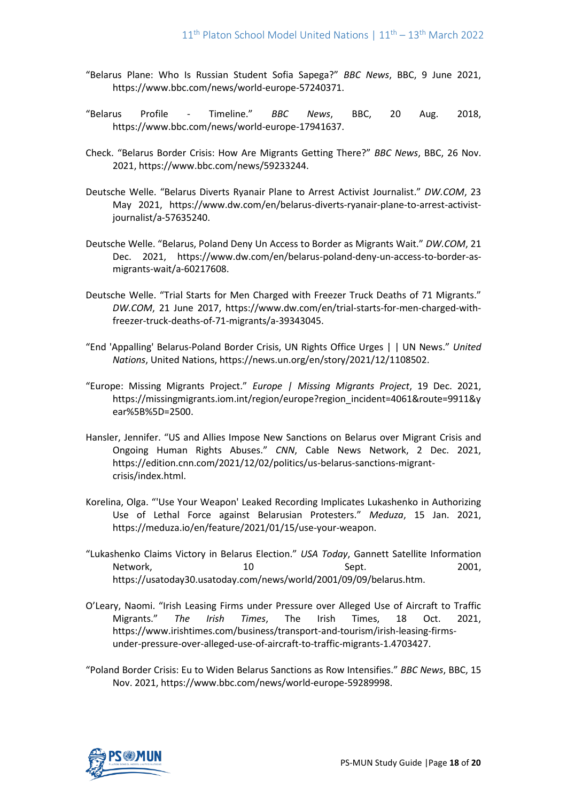- "Belarus Plane: Who Is Russian Student Sofia Sapega?" *BBC News*, BBC, 9 June 2021, https://www.bbc.com/news/world-europe-57240371.
- "Belarus Profile Timeline." *BBC News*, BBC, 20 Aug. 2018, https://www.bbc.com/news/world-europe-17941637.
- Check. "Belarus Border Crisis: How Are Migrants Getting There?" *BBC News*, BBC, 26 Nov. 2021, https://www.bbc.com/news/59233244.
- Deutsche Welle. "Belarus Diverts Ryanair Plane to Arrest Activist Journalist." *DW.COM*, 23 May 2021, https://www.dw.com/en/belarus-diverts-ryanair-plane-to-arrest-activistjournalist/a-57635240.
- Deutsche Welle. "Belarus, Poland Deny Un Access to Border as Migrants Wait." *DW.COM*, 21 Dec. 2021, https://www.dw.com/en/belarus-poland-deny-un-access-to-border-asmigrants-wait/a-60217608.
- Deutsche Welle. "Trial Starts for Men Charged with Freezer Truck Deaths of 71 Migrants." *DW.COM*, 21 June 2017, https://www.dw.com/en/trial-starts-for-men-charged-withfreezer-truck-deaths-of-71-migrants/a-39343045.
- "End 'Appalling' Belarus-Poland Border Crisis, UN Rights Office Urges | | UN News." *United Nations*, United Nations, https://news.un.org/en/story/2021/12/1108502.
- "Europe: Missing Migrants Project." *Europe | Missing Migrants Project*, 19 Dec. 2021, https://missingmigrants.iom.int/region/europe?region\_incident=4061&route=9911&y ear%5B%5D=2500.
- Hansler, Jennifer. "US and Allies Impose New Sanctions on Belarus over Migrant Crisis and Ongoing Human Rights Abuses." *CNN*, Cable News Network, 2 Dec. 2021, https://edition.cnn.com/2021/12/02/politics/us-belarus-sanctions-migrantcrisis/index.html.
- Korelina, Olga. "'Use Your Weapon' Leaked Recording Implicates Lukashenko in Authorizing Use of Lethal Force against Belarusian Protesters." *Meduza*, 15 Jan. 2021, https://meduza.io/en/feature/2021/01/15/use-your-weapon.
- "Lukashenko Claims Victory in Belarus Election." *USA Today*, Gannett Satellite Information Network, 10 and 10 Sept. 2001, https://usatoday30.usatoday.com/news/world/2001/09/09/belarus.htm.
- O'Leary, Naomi. "Irish Leasing Firms under Pressure over Alleged Use of Aircraft to Traffic Migrants." *The Irish Times*, The Irish Times, 18 Oct. 2021, https://www.irishtimes.com/business/transport-and-tourism/irish-leasing-firmsunder-pressure-over-alleged-use-of-aircraft-to-traffic-migrants-1.4703427.
- "Poland Border Crisis: Eu to Widen Belarus Sanctions as Row Intensifies." *BBC News*, BBC, 15 Nov. 2021, https://www.bbc.com/news/world-europe-59289998.

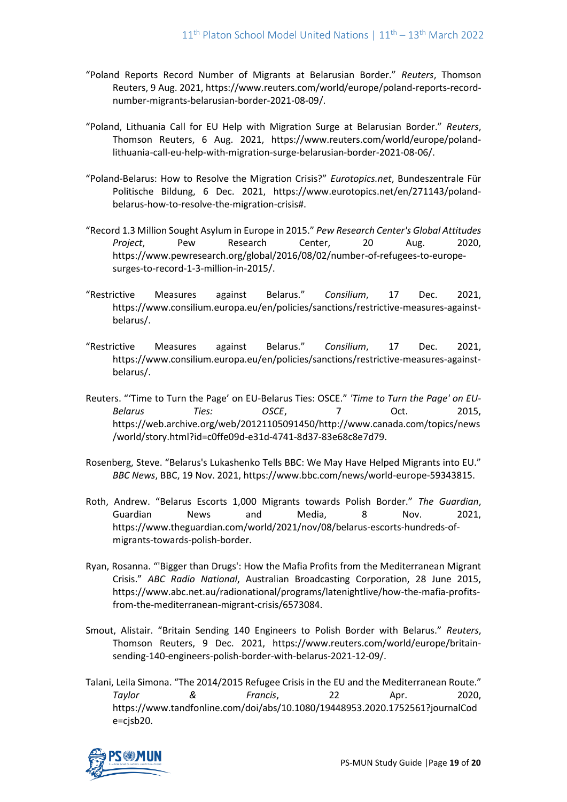- "Poland Reports Record Number of Migrants at Belarusian Border." *Reuters*, Thomson Reuters, 9 Aug. 2021, https://www.reuters.com/world/europe/poland-reports-recordnumber-migrants-belarusian-border-2021-08-09/.
- "Poland, Lithuania Call for EU Help with Migration Surge at Belarusian Border." *Reuters*, Thomson Reuters, 6 Aug. 2021, https://www.reuters.com/world/europe/polandlithuania-call-eu-help-with-migration-surge-belarusian-border-2021-08-06/.
- "Poland-Belarus: How to Resolve the Migration Crisis?" *Eurotopics.net*, Bundeszentrale Für Politische Bildung, 6 Dec. 2021, https://www.eurotopics.net/en/271143/polandbelarus-how-to-resolve-the-migration-crisis#.
- "Record 1.3 Million Sought Asylum in Europe in 2015." *Pew Research Center's Global Attitudes Project*, Pew Research Center, 20 Aug. 2020, https://www.pewresearch.org/global/2016/08/02/number-of-refugees-to-europesurges-to-record-1-3-million-in-2015/.
- "Restrictive Measures against Belarus." *Consilium*, 17 Dec. 2021, https://www.consilium.europa.eu/en/policies/sanctions/restrictive-measures-againstbelarus/.
- "Restrictive Measures against Belarus." *Consilium*, 17 Dec. 2021, https://www.consilium.europa.eu/en/policies/sanctions/restrictive-measures-againstbelarus/.
- Reuters. "'Time to Turn the Page' on EU-Belarus Ties: OSCE." *'Time to Turn the Page' on EU-Belarus Ties: OSCE*, 7 Oct. 2015, https://web.archive.org/web/20121105091450/http://www.canada.com/topics/news /world/story.html?id=c0ffe09d-e31d-4741-8d37-83e68c8e7d79.
- Rosenberg, Steve. "Belarus's Lukashenko Tells BBC: We May Have Helped Migrants into EU." *BBC News*, BBC, 19 Nov. 2021, https://www.bbc.com/news/world-europe-59343815.
- Roth, Andrew. "Belarus Escorts 1,000 Migrants towards Polish Border." *The Guardian*, Guardian News and Media, 8 Nov. 2021, https://www.theguardian.com/world/2021/nov/08/belarus-escorts-hundreds-ofmigrants-towards-polish-border.
- Ryan, Rosanna. "'Bigger than Drugs': How the Mafia Profits from the Mediterranean Migrant Crisis." *ABC Radio National*, Australian Broadcasting Corporation, 28 June 2015, https://www.abc.net.au/radionational/programs/latenightlive/how-the-mafia-profitsfrom-the-mediterranean-migrant-crisis/6573084.
- Smout, Alistair. "Britain Sending 140 Engineers to Polish Border with Belarus." *Reuters*, Thomson Reuters, 9 Dec. 2021, https://www.reuters.com/world/europe/britainsending-140-engineers-polish-border-with-belarus-2021-12-09/.
- Talani, Leila Simona. "The 2014/2015 Refugee Crisis in the EU and the Mediterranean Route." *Taylor & Francis*, 22 Apr. 2020, https://www.tandfonline.com/doi/abs/10.1080/19448953.2020.1752561?journalCod e=cjsb20.